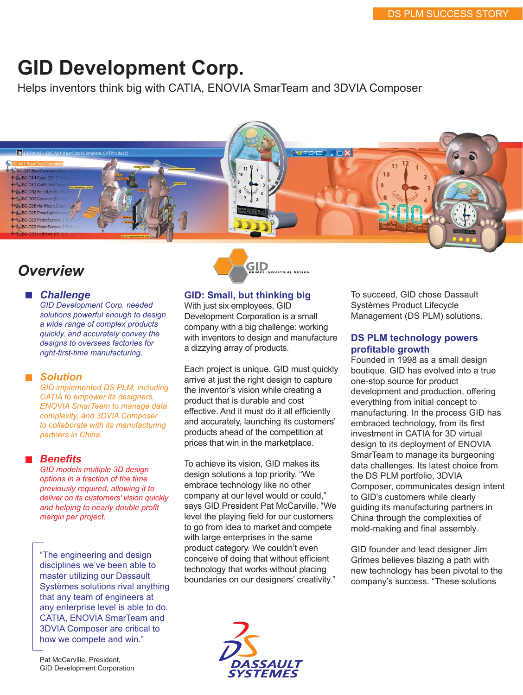# **GID Development Corp.**

Helps inventors think big with CATIA, ENOVIA SmarTeam and 3DVIA Composer



# *Overview*

#### *Challenge*

*GID Development Corp. needed solutions powerful enough to design a wide range of complex products quickly, and accurately convey the designs to overseas factories for right-first-time manufacturing.* 

#### ■ Solution

*GID implemented DS PLM, including CATIA to empower its designers, ENOVIA SmarTeam to manage data complexity, and 3DVIA Composer to collaborate with its manufacturing partners in China.* 

#### *Benefits*

*GID models multiple 3D design options in a fraction of the time previously required, allowing it to deliver on its customers' vision quickly and helping to nearly double profit margin per project.*

"The engineering and design disciplines we've been able to master utilizing our Dassault Systèmes solutions rival anything that any team of engineers at any enterprise level is able to do. CATIA, ENOVIA SmarTeam and 3DVIA Composer are critical to how we compete and win."



# **GID: Small, but thinking big**

With just six employees, GID Development Corporation is a small company with a big challenge: working with inventors to design and manufacture a dizzying array of products.

Each project is unique. GID must quickly arrive at just the right design to capture the inventor's vision while creating a product that is durable and cost effective. And it must do it all efficiently and accurately, launching its customers' products ahead of the competition at prices that win in the marketplace.

To achieve its vision, GID makes its design solutions a top priority. "We embrace technology like no other company at our level would or could," says GID President Pat McCarville. "We level the playing field for our customers to go from idea to market and compete with large enterprises in the same product category. We couldn't even conceive of doing that without efficient technology that works without placing boundaries on our designers' creativity."



To succeed, GID chose Dassault Systèmes Product Lifecycle Management (DS PLM) solutions.

#### **DS PLM technology powers profitable growth**

Founded in 1998 as a small design boutique, GID has evolved into a true one-stop source for product development and production, offering everything from initial concept to manufacturing. In the process GID has embraced technology, from its first investment in CATIA for 3D virtual design to its deployment of ENOVIA SmarTeam to manage its burgeoning data challenges. Its latest choice from the DS PLM portfolio, 3DVIA Composer, communicates design intent to GID's customers while clearly guiding its manufacturing partners in China through the complexities of mold-making and final assembly.

GID founder and lead designer Jim Grimes believes blazing a path with new technology has been pivotal to the company's success. "These solutions

Pat McCarville, President, GID Development Corporation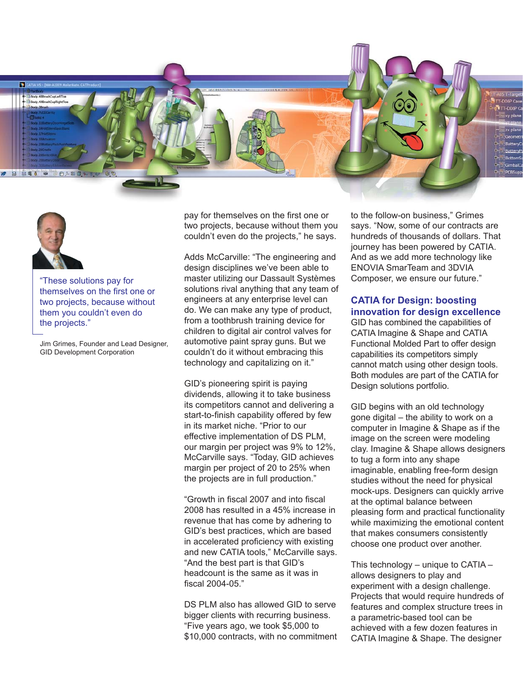



"These solutions pay for themselves on the first one or two projects, because without them you couldn't even do the projects."

Jim Grimes, Founder and Lead Designer, GID Development Corporation

pay for themselves on the first one or two projects, because without them you couldn't even do the projects," he says.

Adds McCarville: "The engineering and design disciplines we've been able to master utilizing our Dassault Systèmes solutions rival anything that any team of engineers at any enterprise level can do. We can make any type of product, from a toothbrush training device for children to digital air control valves for automotive paint spray guns. But we couldn't do it without embracing this technology and capitalizing on it."

GID's pioneering spirit is paying dividends, allowing it to take business its competitors cannot and delivering a start-to-finish capability offered by few in its market niche. "Prior to our effective implementation of DS PLM, our margin per project was 9% to 12%, McCarville says. "Today, GID achieves margin per project of 20 to 25% when the projects are in full production."

"Growth in fiscal 2007 and into fiscal 2008 has resulted in a 45% increase in revenue that has come by adhering to GID's best practices, which are based in accelerated proficiency with existing and new CATIA tools," McCarville says. "And the best part is that GID's headcount is the same as it was in fiscal 2004-05."

DS PLM also has allowed GID to serve bigger clients with recurring business. "Five years ago, we took \$5,000 to \$10,000 contracts, with no commitment to the follow-on business," Grimes says. "Now, some of our contracts are hundreds of thousands of dollars. That journey has been powered by CATIA. And as we add more technology like ENOVIA SmarTeam and 3DVIA Composer, we ensure our future."

# **CATIA for Design: boosting innovation for design excellence**

GID has combined the capabilities of CATIA Imagine & Shape and CATIA Functional Molded Part to offer design capabilities its competitors simply cannot match using other design tools. Both modules are part of the CATIA for Design solutions portfolio.

GID begins with an old technology gone digital – the ability to work on a computer in Imagine & Shape as if the image on the screen were modeling clay. Imagine & Shape allows designers to tug a form into any shape imaginable, enabling free-form design studies without the need for physical mock-ups. Designers can quickly arrive at the optimal balance between pleasing form and practical functionality while maximizing the emotional content that makes consumers consistently choose one product over another.

This technology – unique to CATIA – allows designers to play and experiment with a design challenge. Projects that would require hundreds of features and complex structure trees in a parametric-based tool can be achieved with a few dozen features in CATIA Imagine & Shape. The designer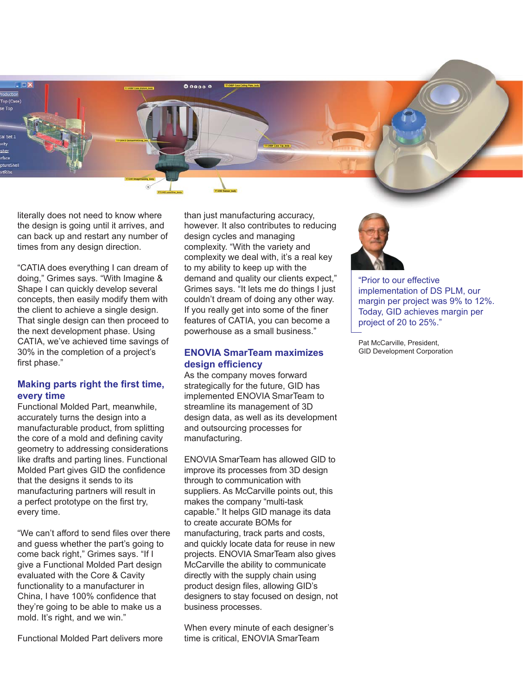

literally does not need to know where the design is going until it arrives, and can back up and restart any number of times from any design direction.

"CATIA does everything I can dream of doing," Grimes says. "With Imagine & Shape I can quickly develop several concepts, then easily modify them with the client to achieve a single design. That single design can then proceed to the next development phase. Using CATIA, we've achieved time savings of 30% in the completion of a project's first phase."

#### **Making parts right the first time, every time**

Functional Molded Part, meanwhile, accurately turns the design into a manufacturable product, from splitting the core of a mold and defining cavity geometry to addressing considerations like drafts and parting lines. Functional Molded Part gives GID the confidence that the designs it sends to its manufacturing partners will result in a perfect prototype on the first try, every time.

"We can't afford to send files over there and guess whether the part's going to come back right," Grimes says. "If I give a Functional Molded Part design evaluated with the Core & Cavity functionality to a manufacturer in China, I have 100% confidence that they're going to be able to make us a mold. It's right, and we win."

Functional Molded Part delivers more

than just manufacturing accuracy, however. It also contributes to reducing design cycles and managing complexity. "With the variety and complexity we deal with, it's a real key to my ability to keep up with the demand and quality our clients expect," Grimes says. "It lets me do things I just couldn't dream of doing any other way. If you really get into some of the finer features of CATIA, you can become a powerhouse as a small business."

# **ENOVIA SmarTeam maximizes design efficiency**

As the company moves forward strategically for the future, GID has implemented ENOVIA SmarTeam to streamline its management of 3D design data, as well as its development and outsourcing processes for manufacturing.

ENOVIA SmarTeam has allowed GID to improve its processes from 3D design through to communication with suppliers. As McCarville points out, this makes the company "multi-task capable." It helps GID manage its data to create accurate BOMs for manufacturing, track parts and costs, and quickly locate data for reuse in new projects. ENOVIA SmarTeam also gives McCarville the ability to communicate directly with the supply chain using product design files, allowing GID's designers to stay focused on design, not business processes.

When every minute of each designer's time is critical, ENOVIA SmarTeam



"Prior to our effective implementation of DS PLM, our margin per project was 9% to 12%. Today, GID achieves margin per project of 20 to 25%."

Pat McCarville, President, GID Development Corporation